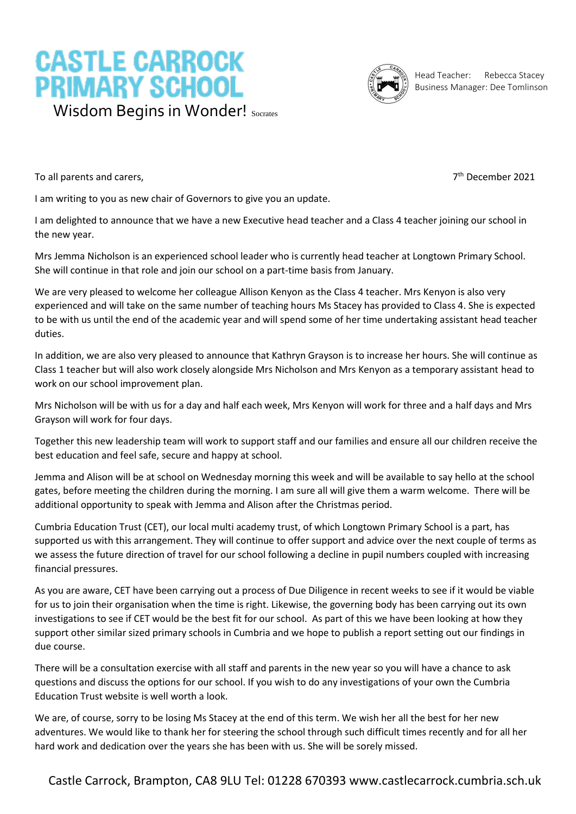## **CASTLE CARROCK PRIMARY SCHOOL** Wisdom Begins in Wonder! Socrates



Head Teacher: Rebecca Stacey Business Manager: Dee Tomlinson

To all parents and carers,

7<sup>th</sup> December 2021

I am writing to you as new chair of Governors to give you an update.

I am delighted to announce that we have a new Executive head teacher and a Class 4 teacher joining our school in the new year.

Mrs Jemma Nicholson is an experienced school leader who is currently head teacher at Longtown Primary School. She will continue in that role and join our school on a part-time basis from January.

We are very pleased to welcome her colleague Allison Kenyon as the Class 4 teacher. Mrs Kenyon is also very experienced and will take on the same number of teaching hours Ms Stacey has provided to Class 4. She is expected to be with us until the end of the academic year and will spend some of her time undertaking assistant head teacher duties.

In addition, we are also very pleased to announce that Kathryn Grayson is to increase her hours. She will continue as Class 1 teacher but will also work closely alongside Mrs Nicholson and Mrs Kenyon as a temporary assistant head to work on our school improvement plan.

Mrs Nicholson will be with us for a day and half each week, Mrs Kenyon will work for three and a half days and Mrs Grayson will work for four days.

Together this new leadership team will work to support staff and our families and ensure all our children receive the best education and feel safe, secure and happy at school.

Jemma and Alison will be at school on Wednesday morning this week and will be available to say hello at the school gates, before meeting the children during the morning. I am sure all will give them a warm welcome. There will be additional opportunity to speak with Jemma and Alison after the Christmas period.

Cumbria Education Trust (CET), our local multi academy trust, of which Longtown Primary School is a part, has supported us with this arrangement. They will continue to offer support and advice over the next couple of terms as we assess the future direction of travel for our school following a decline in pupil numbers coupled with increasing financial pressures.

As you are aware, CET have been carrying out a process of Due Diligence in recent weeks to see if it would be viable for us to join their organisation when the time is right. Likewise, the governing body has been carrying out its own investigations to see if CET would be the best fit for our school. As part of this we have been looking at how they support other similar sized primary schools in Cumbria and we hope to publish a report setting out our findings in due course.

There will be a consultation exercise with all staff and parents in the new year so you will have a chance to ask questions and discuss the options for our school. If you wish to do any investigations of your own the Cumbria Education Trust website is well worth a look.

We are, of course, sorry to be losing Ms Stacey at the end of this term. We wish her all the best for her new adventures. We would like to thank her for steering the school through such difficult times recently and for all her hard work and dedication over the years she has been with us. She will be sorely missed.